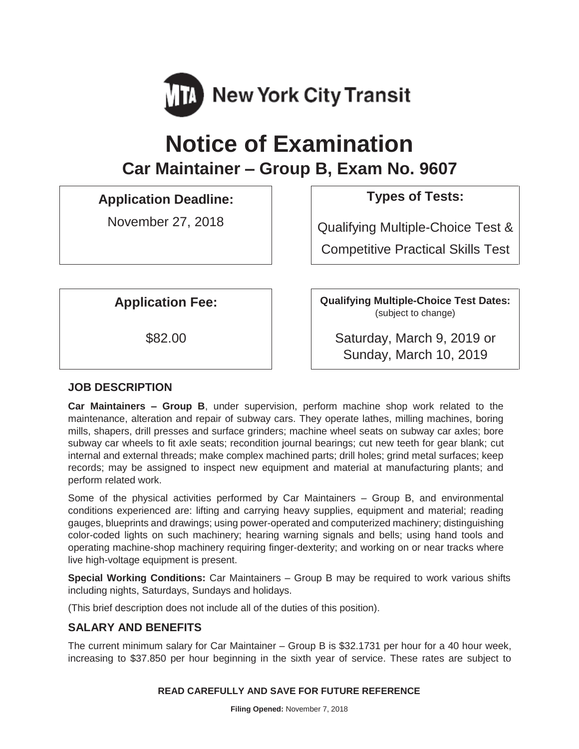

# **Notice of Examination Car Maintainer – Group B, Exam No. 9607**

# **Application Deadline: Types of Tests:**

November 27, 2018 | Qualifying Multiple-Choice Test & Competitive Practical Skills Test

Application Fee: **Qualifying Multiple-Choice Test Dates:** (subject to change)

\$82.00 Saturday, March 9, 2019 or Sunday, March 10, 2019

# **JOB DESCRIPTION**

**Car Maintainers – Group B**, under supervision, perform machine shop work related to the maintenance, alteration and repair of subway cars. They operate lathes, milling machines, boring mills, shapers, drill presses and surface grinders; machine wheel seats on subway car axles; bore subway car wheels to fit axle seats; recondition journal bearings; cut new teeth for gear blank; cut internal and external threads; make complex machined parts; drill holes; grind metal surfaces; keep records; may be assigned to inspect new equipment and material at manufacturing plants; and perform related work.

Some of the physical activities performed by Car Maintainers – Group B, and environmental conditions experienced are: lifting and carrying heavy supplies, equipment and material; reading gauges, blueprints and drawings; using power-operated and computerized machinery; distinguishing color-coded lights on such machinery; hearing warning signals and bells; using hand tools and operating machine-shop machinery requiring finger-dexterity; and working on or near tracks where live high-voltage equipment is present.

**Special Working Conditions:** Car Maintainers – Group B may be required to work various shifts including nights, Saturdays, Sundays and holidays.

(This brief description does not include all of the duties of this position).

# **SALARY AND BENEFITS**

The current minimum salary for Car Maintainer – Group B is \$32.1731 per hour for a 40 hour week, increasing to \$37.850 per hour beginning in the sixth year of service. These rates are subject to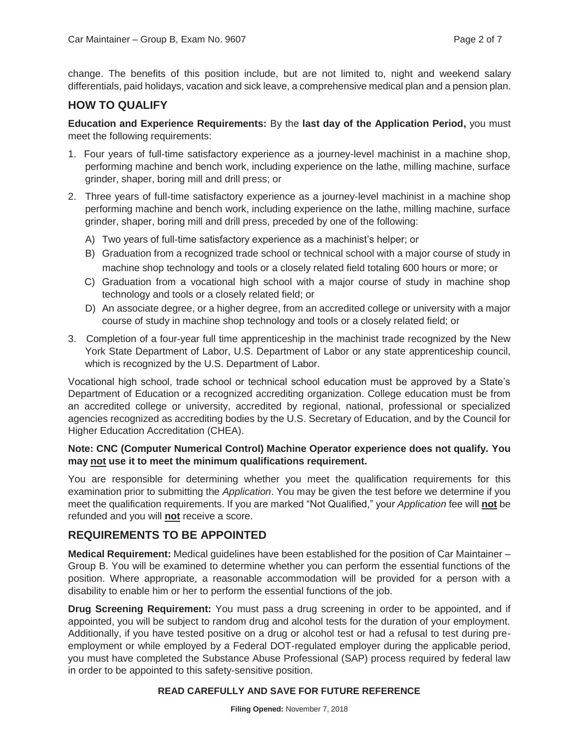change. The benefits of this position include, but are not limited to, night and weekend salary differentials, paid holidays, vacation and sick leave, a comprehensive medical plan and a pension plan.

# **HOW TO QUALIFY**

#### **Education and Experience Requirements:** By the **last day of the Application Period,** you must meet the following requirements:

- 1. Four years of full-time satisfactory experience as a journey-level machinist in a machine shop, performing machine and bench work, including experience on the lathe, milling machine, surface grinder, shaper, boring mill and drill press; or
- 2. Three years of full-time satisfactory experience as a journey-level machinist in a machine shop performing machine and bench work, including experience on the lathe, milling machine, surface grinder, shaper, boring mill and drill press, preceded by one of the following:
	- A) Two years of full-time satisfactory experience as a machinist's helper; or
	- B) Graduation from a recognized trade school or technical school with a major course of study in machine shop technology and tools or a closely related field totaling 600 hours or more; or
	- C) Graduation from a vocational high school with a major course of study in machine shop technology and tools or a closely related field; or
	- D) An associate degree, or a higher degree, from an accredited college or university with a major course of study in machine shop technology and tools or a closely related field; or
- 3. Completion of a four-year full time apprenticeship in the machinist trade recognized by the New York State Department of Labor, U.S. Department of Labor or any state apprenticeship council, which is recognized by the U.S. Department of Labor.

Vocational high school, trade school or technical school education must be approved by a State's Department of Education or a recognized accrediting organization. College education must be from an accredited college or university, accredited by regional, national, professional or specialized agencies recognized as accrediting bodies by the U.S. Secretary of Education, and by the Council for Higher Education Accreditation (CHEA).

#### **Note: CNC (Computer Numerical Control) Machine Operator experience does not qualify. You may not use it to meet the minimum qualifications requirement.**

You are responsible for determining whether you meet the qualification requirements for this examination prior to submitting the *Application*. You may be given the test before we determine if you meet the qualification requirements. If you are marked "Not Qualified," your *Application* fee will **not** be refunded and you will **not** receive a score.

# **REQUIREMENTS TO BE APPOINTED**

**Medical Requirement:** Medical guidelines have been established for the position of Car Maintainer – Group B. You will be examined to determine whether you can perform the essential functions of the position. Where appropriate, a reasonable accommodation will be provided for a person with a disability to enable him or her to perform the essential functions of the job.

**Drug Screening Requirement:** You must pass a drug screening in order to be appointed, and if appointed, you will be subject to random drug and alcohol tests for the duration of your employment. Additionally, if you have tested positive on a drug or alcohol test or had a refusal to test during preemployment or while employed by a Federal DOT-regulated employer during the applicable period, you must have completed the Substance Abuse Professional (SAP) process required by federal law in order to be appointed to this safety-sensitive position.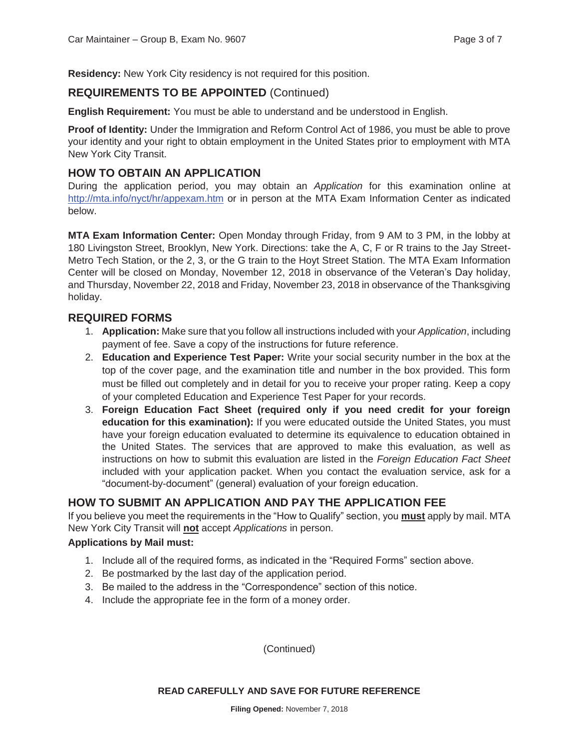**Residency:** New York City residency is not required for this position.

# **REQUIREMENTS TO BE APPOINTED** (Continued)

**English Requirement:** You must be able to understand and be understood in English.

**Proof of Identity:** Under the Immigration and Reform Control Act of 1986, you must be able to prove your identity and your right to obtain employment in the United States prior to employment with MTA New York City Transit.

# **HOW TO OBTAIN AN APPLICATION**

During the application period, you may obtain an *Application* for this examination online at http://mta.info/nyct/hr/appexam.htm or in person at the MTA Exam Information Center as indicated below.

**MTA Exam Information Center:** Open Monday through Friday, from 9 AM to 3 PM, in the lobby at 180 Livingston Street, Brooklyn, New York. Directions: take the A, C, F or R trains to the Jay Street-Metro Tech Station, or the 2, 3, or the G train to the Hoyt Street Station. The MTA Exam Information Center will be closed on Monday, November 12, 2018 in observance of the Veteran's Day holiday, and Thursday, November 22, 2018 and Friday, November 23, 2018 in observance of the Thanksgiving holiday.

### **REQUIRED FORMS**

- 1. **Application:** Make sure that you follow all instructions included with your *Application*, including payment of fee. Save a copy of the instructions for future reference.
- 2. **Education and Experience Test Paper:** Write your social security number in the box at the top of the cover page, and the examination title and number in the box provided. This form must be filled out completely and in detail for you to receive your proper rating. Keep a copy of your completed Education and Experience Test Paper for your records.
- 3. **Foreign Education Fact Sheet (required only if you need credit for your foreign education for this examination):** If you were educated outside the United States, you must have your foreign education evaluated to determine its equivalence to education obtained in the United States. The services that are approved to make this evaluation, as well as instructions on how to submit this evaluation are listed in the *Foreign Education Fact Sheet* included with your application packet. When you contact the evaluation service, ask for a "document-by-document" (general) evaluation of your foreign education.

# **HOW TO SUBMIT AN APPLICATION AND PAY THE APPLICATION FEE**

If you believe you meet the requirements in the "How to Qualify" section, you **must** apply by mail. MTA New York City Transit will **not** accept *Applications* in person.

#### **Applications by Mail must:**

- 1. Include all of the required forms, as indicated in the "Required Forms" section above.
- 2. Be postmarked by the last day of the application period.
- 3. Be mailed to the address in the "Correspondence" section of this notice.
- 4. Include the appropriate fee in the form of a money order.

(Continued)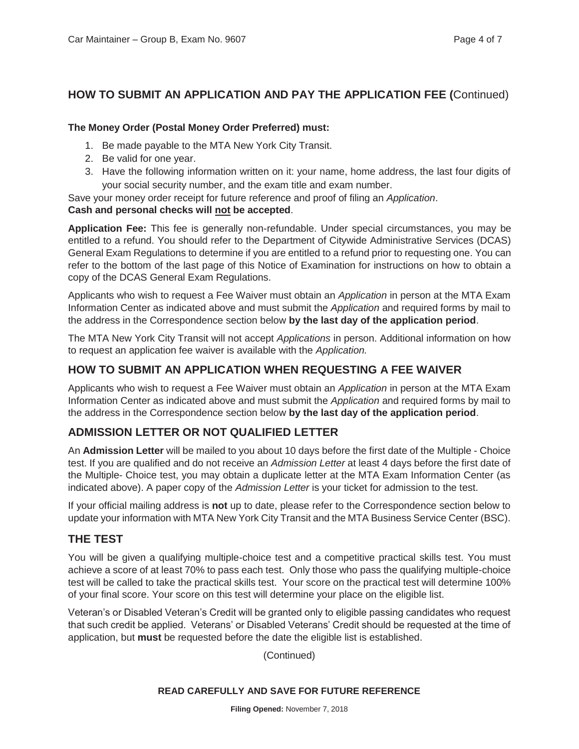# **HOW TO SUBMIT AN APPLICATION AND PAY THE APPLICATION FEE (**Continued)

#### **The Money Order (Postal Money Order Preferred) must:**

- 1. Be made payable to the MTA New York City Transit.
- 2. Be valid for one year.
- 3. Have the following information written on it: your name, home address, the last four digits of your social security number, and the exam title and exam number.

Save your money order receipt for future reference and proof of filing an *Application*.

#### **Cash and personal checks will not be accepted**.

**Application Fee:** This fee is generally non-refundable. Under special circumstances, you may be entitled to a refund. You should refer to the Department of Citywide Administrative Services (DCAS) General Exam Regulations to determine if you are entitled to a refund prior to requesting one. You can refer to the bottom of the last page of this Notice of Examination for instructions on how to obtain a copy of the DCAS General Exam Regulations.

Applicants who wish to request a Fee Waiver must obtain an *Application* in person at the MTA Exam Information Center as indicated above and must submit the *Application* and required forms by mail to the address in the Correspondence section below **by the last day of the application period**.

The MTA New York City Transit will not accept *Applications* in person. Additional information on how to request an application fee waiver is available with the *Application.*

# **HOW TO SUBMIT AN APPLICATION WHEN REQUESTING A FEE WAIVER**

Applicants who wish to request a Fee Waiver must obtain an *Application* in person at the MTA Exam Information Center as indicated above and must submit the *Application* and required forms by mail to the address in the Correspondence section below **by the last day of the application period**.

# **ADMISSION LETTER OR NOT QUALIFIED LETTER**

An **Admission Letter** will be mailed to you about 10 days before the first date of the Multiple - Choice test. If you are qualified and do not receive an *Admission Letter* at least 4 days before the first date of the Multiple- Choice test, you may obtain a duplicate letter at the MTA Exam Information Center (as indicated above). A paper copy of the *Admission Letter* is your ticket for admission to the test.

If your official mailing address is **not** up to date, please refer to the Correspondence section below to update your information with MTA New York City Transit and the MTA Business Service Center (BSC).

# **THE TEST**

You will be given a qualifying multiple-choice test and a competitive practical skills test. You must achieve a score of at least 70% to pass each test. Only those who pass the qualifying multiple-choice test will be called to take the practical skills test. Your score on the practical test will determine 100% of your final score. Your score on this test will determine your place on the eligible list.

Veteran's or Disabled Veteran's Credit will be granted only to eligible passing candidates who request that such credit be applied. Veterans' or Disabled Veterans' Credit should be requested at the time of application, but **must** be requested before the date the eligible list is established.

(Continued)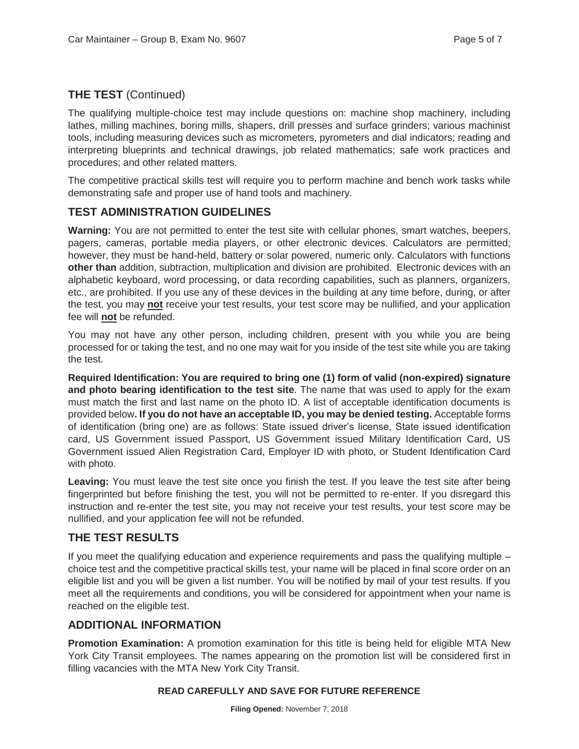# **THE TEST** (Continued)

The qualifying multiple-choice test may include questions on: machine shop machinery, including lathes, milling machines, boring mills, shapers, drill presses and surface grinders; various machinist tools, including measuring devices such as micrometers, pyrometers and dial indicators; reading and interpreting blueprints and technical drawings, job related mathematics; safe work practices and procedures; and other related matters.

The competitive practical skills test will require you to perform machine and bench work tasks while demonstrating safe and proper use of hand tools and machinery.

# **TEST ADMINISTRATION GUIDELINES**

**Warning:** You are not permitted to enter the test site with cellular phones, smart watches, beepers, pagers, cameras, portable media players, or other electronic devices. Calculators are permitted; however, they must be hand-held, battery or solar powered, numeric only. Calculators with functions **other than** addition, subtraction, multiplication and division are prohibited. Electronic devices with an alphabetic keyboard, word processing, or data recording capabilities, such as planners, organizers, etc., are prohibited. If you use any of these devices in the building at any time before, during, or after the test, you may **not** receive your test results, your test score may be nullified, and your application fee will **not** be refunded.

You may not have any other person, including children, present with you while you are being processed for or taking the test, and no one may wait for you inside of the test site while you are taking the test.

**Required Identification: You are required to bring one (1) form of valid (non-expired) signature and photo bearing identification to the test site**. The name that was used to apply for the exam must match the first and last name on the photo ID. A list of acceptable identification documents is provided below**. If you do not have an acceptable ID, you may be denied testing.** Acceptable forms of identification (bring one) are as follows: State issued driver's license, State issued identification card, US Government issued Passport, US Government issued Military Identification Card, US Government issued Alien Registration Card, Employer ID with photo, or Student Identification Card with photo.

**Leaving:** You must leave the test site once you finish the test. If you leave the test site after being fingerprinted but before finishing the test, you will not be permitted to re-enter. If you disregard this instruction and re-enter the test site, you may not receive your test results, your test score may be nullified, and your application fee will not be refunded.

# **THE TEST RESULTS**

If you meet the qualifying education and experience requirements and pass the qualifying multiple – choice test and the competitive practical skills test, your name will be placed in final score order on an eligible list and you will be given a list number. You will be notified by mail of your test results. If you meet all the requirements and conditions, you will be considered for appointment when your name is reached on the eligible test.

#### **ADDITIONAL INFORMATION**

**Promotion Examination:** A promotion examination for this title is being held for eligible MTA New York City Transit employees. The names appearing on the promotion list will be considered first in filling vacancies with the MTA New York City Transit.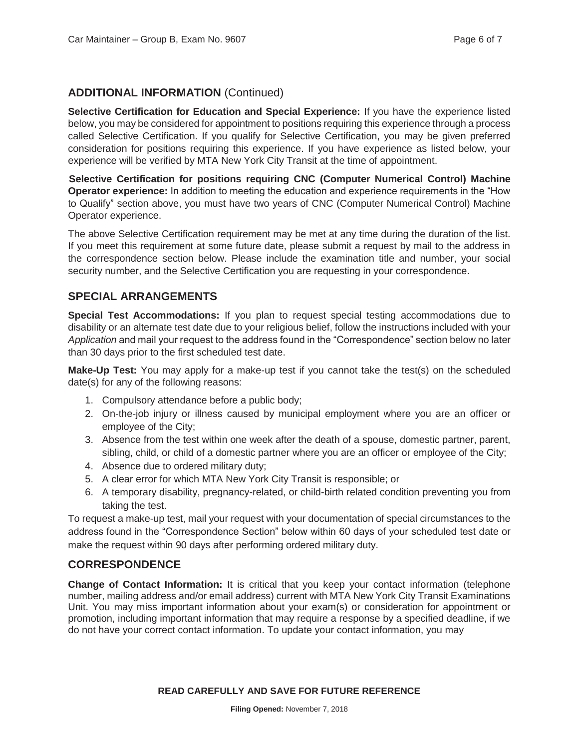# **ADDITIONAL INFORMATION** (Continued)

**Selective Certification for Education and Special Experience:** If you have the experience listed below, you may be considered for appointment to positions requiring this experience through a process called Selective Certification. If you qualify for Selective Certification, you may be given preferred consideration for positions requiring this experience. If you have experience as listed below, your experience will be verified by MTA New York City Transit at the time of appointment.

 **Selective Certification for positions requiring CNC (Computer Numerical Control) Machine Operator experience:** In addition to meeting the education and experience requirements in the "How to Qualify" section above, you must have two years of CNC (Computer Numerical Control) Machine Operator experience.

The above Selective Certification requirement may be met at any time during the duration of the list. If you meet this requirement at some future date, please submit a request by mail to the address in the correspondence section below. Please include the examination title and number, your social security number, and the Selective Certification you are requesting in your correspondence.

# **SPECIAL ARRANGEMENTS**

**Special Test Accommodations:** If you plan to request special testing accommodations due to disability or an alternate test date due to your religious belief, follow the instructions included with your *Application* and mail your request to the address found in the "Correspondence" section below no later than 30 days prior to the first scheduled test date.

**Make-Up Test:** You may apply for a make-up test if you cannot take the test(s) on the scheduled date(s) for any of the following reasons:

- 1. Compulsory attendance before a public body;
- 2. On-the-job injury or illness caused by municipal employment where you are an officer or employee of the City;
- 3. Absence from the test within one week after the death of a spouse, domestic partner, parent, sibling, child, or child of a domestic partner where you are an officer or employee of the City;
- 4. Absence due to ordered military duty;
- 5. A clear error for which MTA New York City Transit is responsible; or
- 6. A temporary disability, pregnancy-related, or child-birth related condition preventing you from taking the test.

To request a make-up test, mail your request with your documentation of special circumstances to the address found in the "Correspondence Section" below within 60 days of your scheduled test date or make the request within 90 days after performing ordered military duty.

# **CORRESPONDENCE**

**Change of Contact Information:** It is critical that you keep your contact information (telephone number, mailing address and/or email address) current with MTA New York City Transit Examinations Unit. You may miss important information about your exam(s) or consideration for appointment or promotion, including important information that may require a response by a specified deadline, if we do not have your correct contact information. To update your contact information, you may